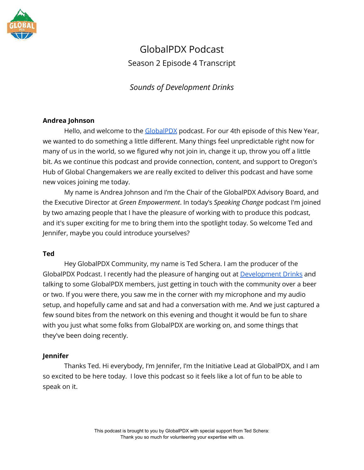

# GlobalPDX Podcast Season 2 Episode 4 Transcript

# *Sounds of Development Drinks*

# **Andrea Johnson**

Hello, and welcome to the [GlobalPDX](https://globalpdx.org/) podcast. For our 4th episode of this New Year, we wanted to do something a little different. Many things feel unpredictable right now for many of us in the world, so we figured why not join in, change it up, throw you off a little bit. As we continue this podcast and provide connection, content, and support to Oregon's Hub of Global Changemakers we are really excited to deliver this podcast and have some new voices joining me today.

My name is Andrea Johnson and I'm the Chair of the GlobalPDX Advisory Board, and the Executive Director at *Green Empowerment*. In today's *Speaking Change* podcast I'm joined by two amazing people that I have the pleasure of working with to produce this podcast, and it's super exciting for me to bring them into the spotlight today. So welcome Ted and Jennifer, maybe you could introduce yourselves?

#### **Ted**

Hey GlobalPDX Community, my name is Ted Schera. I am the producer of the GlobalPDX Podcast. I recently had the pleasure of hanging out at [Development Drinks](https://globalpdx.org/development-drinks/) and talking to some GlobalPDX members, just getting in touch with the community over a beer or two. If you were there, you saw me in the corner with my microphone and my audio setup, and hopefully came and sat and had a conversation with me. And we just captured a few sound bites from the network on this evening and thought it would be fun to share with you just what some folks from GlobalPDX are working on, and some things that they've been doing recently.

# **Jennifer**

Thanks Ted. Hi everybody, I'm Jennifer, I'm the Initiative Lead at GlobalPDX, and I am so excited to be here today. I love this podcast so it feels like a lot of fun to be able to speak on it.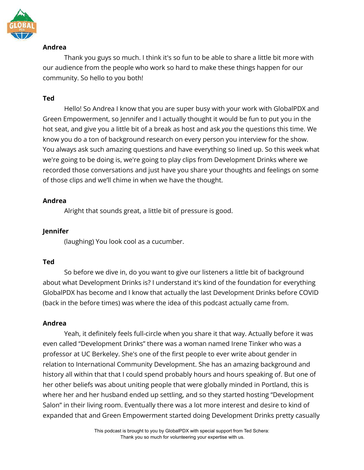

# **Andrea**

Thank you guys so much. I think it's so fun to be able to share a little bit more with our audience from the people who work so hard to make these things happen for our community. So hello to you both!

# **Ted**

Hello! So Andrea I know that you are super busy with your work with GlobalPDX and Green Empowerment, so Jennifer and I actually thought it would be fun to put you in the hot seat, and give you a little bit of a break as host and ask *you* the questions this time. We know you do a ton of background research on every person you interview for the show. You always ask such amazing questions and have everything so lined up. So this week what we're going to be doing is, we're going to play clips from Development Drinks where we recorded those conversations and just have you share your thoughts and feelings on some of those clips and we'll chime in when we have the thought.

# **Andrea**

Alright that sounds great, a little bit of pressure is good.

# **Jennifer**

(laughing) You look cool as a cucumber.

# **Ted**

So before we dive in, do you want to give our listeners a little bit of background about what Development Drinks is? I understand it's kind of the foundation for everything GlobalPDX has become and I know that actually the last Development Drinks before COVID (back in the before times) was where the idea of this podcast actually came from.

# **Andrea**

Yeah, it definitely feels full-circle when you share it that way. Actually before it was even called "Development Drinks" there was a woman named Irene Tinker who was a professor at UC Berkeley. She's one of the first people to ever write about gender in relation to International Community Development. She has an amazing background and history all within that that I could spend probably hours and hours speaking of. But one of her other beliefs was about uniting people that were globally minded in Portland, this is where her and her husband ended up settling, and so they started hosting "Development Salon" in their living room. Eventually there was a lot more interest and desire to kind of expanded that and Green Empowerment started doing Development Drinks pretty casually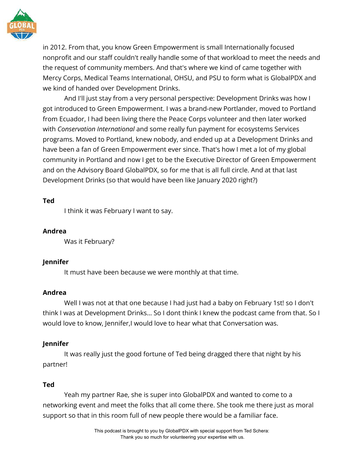

in 2012. From that, you know Green Empowerment is small Internationally focused nonprofit and our staff couldn't really handle some of that workload to meet the needs and the request of community members. And that's where we kind of came together with Mercy Corps, Medical Teams International, OHSU, and PSU to form what is GlobalPDX and we kind of handed over Development Drinks.

And I'll just stay from a very personal perspective: Development Drinks was how I got introduced to Green Empowerment. I was a brand-new Portlander, moved to Portland from Ecuador, I had been living there the Peace Corps volunteer and then later worked with *Conservation International* and some really fun payment for ecosystems Services programs. Moved to Portland, knew nobody, and ended up at a Development Drinks and have been a fan of Green Empowerment ever since. That's how I met a lot of my global community in Portland and now I get to be the Executive Director of Green Empowerment and on the Advisory Board GlobalPDX, so for me that is all full circle. And at that last Development Drinks (so that would have been like January 2020 right?)

# **Ted**

I think it was February I want to say.

# **Andrea**

Was it February?

# **Jennifer**

It must have been because we were monthly at that time.

# **Andrea**

Well I was not at that one because I had just had a baby on February 1st! so I don't think I was at Development Drinks… So I dont think I knew the podcast came from that. So I would love to know, Jennifer,I would love to hear what that Conversation was.

# **Jennifer**

It was really just the good fortune of Ted being dragged there that night by his partner!

# **Ted**

Yeah my partner Rae, she is super into GlobalPDX and wanted to come to a networking event and meet the folks that all come there. She took me there just as moral support so that in this room full of new people there would be a familiar face.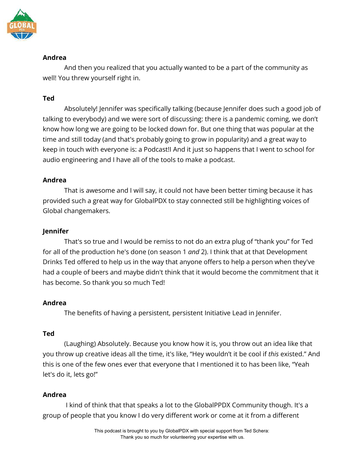

# **Andrea**

And then you realized that you actually wanted to be a part of the community as well! You threw yourself right in.

# **Ted**

Absolutely! Jennifer was specifically talking (because Jennifer does such a good job of talking to everybody) and we were sort of discussing: there is a pandemic coming, we don't know how long we are going to be locked down for. But one thing that was popular at the time and still today (and that's probably going to grow in popularity) and a great way to keep in touch with everyone is: a Podcast!I And it just so happens that I went to school for audio engineering and I have all of the tools to make a podcast.

# **Andrea**

That is awesome and I will say, it could not have been better timing because it has provided such a great way for GlobalPDX to stay connected still be highlighting voices of Global changemakers.

# **Jennifer**

That's so true and I would be remiss to not do an extra plug of "thank you" for Ted for all of the production he's done (on season 1 *and* 2). I think that at that Development Drinks Ted offered to help us in the way that anyone offers to help a person when they've had a couple of beers and maybe didn't think that it would become the commitment that it has become. So thank you so much Ted!

# **Andrea**

The benefits of having a persistent, persistent Initiative Lead in Jennifer.

# **Ted**

(Laughing) Absolutely. Because you know how it is, you throw out an idea like that you throw up creative ideas all the time, it's like, "Hey wouldn't it be cool if *this* existed." And this is one of the few ones ever that everyone that I mentioned it to has been like, "Yeah let's do it, lets go!"

# **Andrea**

I kind of think that that speaks a lot to the GlobalPPDX Community though. It's a group of people that you know I do very different work or come at it from a different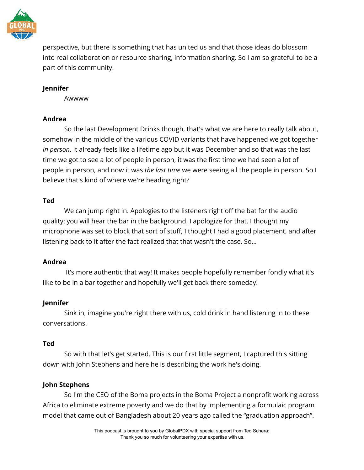

perspective, but there is something that has united us and that those ideas do blossom into real collaboration or resource sharing, information sharing. So I am so grateful to be a part of this community.

### **Jennifer**

Awwww

#### **Andrea**

So the last Development Drinks though, that's what we are here to really talk about, somehow in the middle of the various COVID variants that have happened we got together *in person*. It already feels like a lifetime ago but it was December and so that was the last time we got to see a lot of people in person, it was the first time we had seen a lot of people in person, and now it was *the last time* we were seeing all the people in person. So I believe that's kind of where we're heading right?

#### **Ted**

We can jump right in. Apologies to the listeners right off the bat for the audio quality: you will hear the bar in the background. I apologize for that. I thought my microphone was set to block that sort of stuff, I thought I had a good placement, and after listening back to it after the fact realized that that wasn't the case. So…

#### **Andrea**

It's more authentic that way! It makes people hopefully remember fondly what it's like to be in a bar together and hopefully we'll get back there someday!

# **Jennifer**

Sink in, imagine you're right there with us, cold drink in hand listening in to these conversations.

#### **Ted**

So with that let's get started. This is our first little segment, I captured this sitting down with John Stephens and here he is describing the work he's doing.

# **John Stephens**

So I'm the CEO of the Boma projects in the Boma Project a nonprofit working across Africa to eliminate extreme poverty and we do that by implementing a formulaic program model that came out of Bangladesh about 20 years ago called the "graduation approach".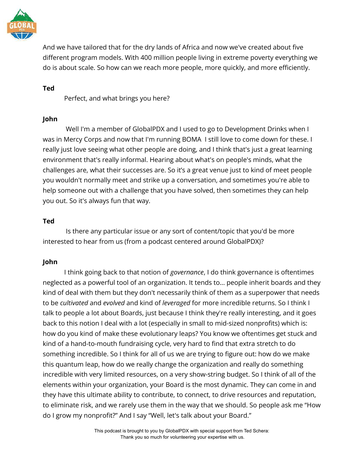

And we have tailored that for the dry lands of Africa and now we've created about five different program models. With 400 million people living in extreme poverty everything we do is about scale. So how can we reach more people, more quickly, and more efficiently.

# **Ted**

Perfect, and what brings you here?

# **John**

Well I'm a member of GlobalPDX and I used to go to Development Drinks when I was in Mercy Corps and now that I'm running BOMA I still love to come down for these. I really just love seeing what other people are doing, and I think that's just a great learning environment that's really informal. Hearing about what's on people's minds, what the challenges are, what their successes are. So it's a great venue just to kind of meet people you wouldn't normally meet and strike up a conversation, and sometimes you're able to help someone out with a challenge that you have solved, then sometimes they can help you out. So it's always fun that way.

# **Ted**

Is there any particular issue or any sort of content/topic that you'd be more interested to hear from us (from a podcast centered around GlobalPDX)?

# **John**

I think going back to that notion of *governance*, I do think governance is oftentimes neglected as a powerful tool of an organization. It tends to… people inherit boards and they kind of deal with them but they don't necessarily think of them as a superpower that needs to be *cultivated* and *evolved* and kind of *leveraged* for more incredible returns. So I think I talk to people a lot about Boards, just because I think they're really interesting, and it goes back to this notion I deal with a lot (especially in small to mid-sized nonprofits) which is: how do you kind of make these evolutionary leaps? You know we oftentimes get stuck and kind of a hand-to-mouth fundraising cycle, very hard to find that extra stretch to do something incredible. So I think for all of us we are trying to figure out: how do we make this quantum leap, how do we really change the organization and really do something incredible with very limited resources, on a very show-string budget. So I think of all of the elements within your organization, your Board is the most dynamic. They can come in and they have this ultimate ability to contribute, to connect, to drive resources and reputation, to eliminate risk, and we rarely use them in the way that we should. So people ask me "How do I grow my nonprofit?" And I say "Well, let's talk about your Board."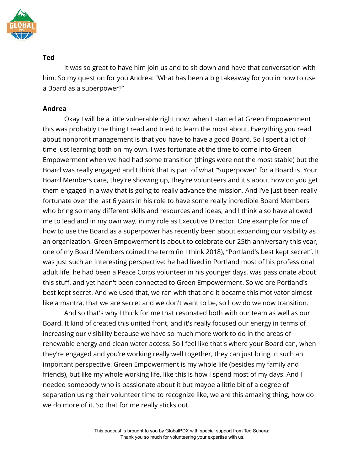

It was so great to have him join us and to sit down and have that conversation with him. So my question for you Andrea: "What has been a big takeaway for you in how to use a Board as a superpower?"

# **Andrea**

Okay I will be a little vulnerable right now: when I started at Green Empowerment this was probably the thing I read and tried to learn the most about. Everything you read about nonprofit management is that you have to have a good Board. So I spent a lot of time just learning both on my own. I was fortunate at the time to come into Green Empowerment when we had had some transition (things were not the most stable) but the Board was really engaged and I think that is part of what "Superpower" for a Board is. Your Board Members care, they're showing up, they're volunteers and it's about how do you get them engaged in a way that is going to really advance the mission. And I've just been really fortunate over the last 6 years in his role to have some really incredible Board Members who bring so many different skills and resources and ideas, and I think also have allowed me to lead and in my own way, in my role as Executive Director. One example for me of how to use the Board as a superpower has recently been about expanding our visibility as an organization. Green Empowerment is about to celebrate our 25th anniversary this year, one of my Board Members coined the term (in I think 2018), "Portland's best kept secret". It was just such an interesting perspective: he had lived in Portland most of his professional adult life, he had been a Peace Corps volunteer in his younger days, was passionate about this stuff, and yet hadn't been connected to Green Empowerment. So we are Portland's best kept secret. And we used that, we ran with that and it became this motivator almost like a mantra, that we are secret and we don't want to be, so how do we now transition.

And so that's why I think for me that resonated both with our team as well as our Board. It kind of created this united front, and it's really focused our energy in terms of increasing our visibility because we have so much more work to do in the areas of renewable energy and clean water access. So I feel like that's where your Board can, when they're engaged and you're working really well together, they can just bring in such an important perspective. Green Empowerment is my whole life (besides my family and friends), but like my whole working life, like this is how I spend most of my days. And I needed somebody who is passionate about it but maybe a little bit of a degree of separation using their volunteer time to recognize like, we are this amazing thing, how do we do more of it. So that for me really sticks out.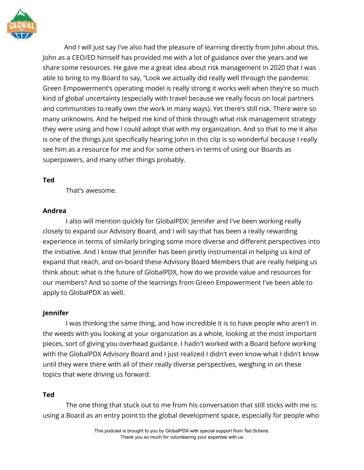

And I will just say I've also had the pleasure of learning directly from John about this. John as a CEO/ED himself has provided me with a lot of guidance over the years and we share some resources. He gave me a great idea about risk management in 2020 that I was able to bring to my Board to say, "Look we actually did really well through the pandemic Green Empowerment's operating model is really strong it works well when they're so much kind of global uncertainty (especially with travel because we really focus on local partners and communities to really own the work in many ways). Yet there's still risk. There were so many unknowns. And he helped me kind of think through what risk management strategy they were using and how I could adopt that with my organization. And so that to me it also is one of the things just specifically hearing John in this clip is so wonderful because I really see him as a resource for me and for some others in terms of using our Boards as superpowers, and many other things probably.

#### **Ted**

That's awesome.

#### **Andrea**

I also will mention quickly for GlobalPDX: Jennifer and I've been working really closely to expand our Advisory Board, and I will say that has been a really rewarding experience in terms of similarly bringing some more diverse and different perspectives into the initiative. And I know that Jennifer has been pretty instrumental in helping us kind of expand that reach, and on-board these Advisory Board Members that are really helping us think about: what is the future of GlobalPDX, how do we provide value and resources for our members? And so some of the learnings from Green Empowerment I've been able to apply to GlobalPDX as well.

# **Jennifer**

I was thinking the same thing, and how incredible it is to have people who aren't in the weeds with you looking at your organization as a whole, looking at the most important pieces, sort of giving you overhead guidance. I hadn't worked with a Board before working with the GlobalPDX Advisory Board and I just realized I didn't even know what I didn't know until they were there with all of their really diverse perspectives, weighing in on these topics that were driving us forward.

# **Ted**

The one thing that stuck out to me from his conversation that still sticks with me is: using a Board as an entry point to the global development space, especially for people who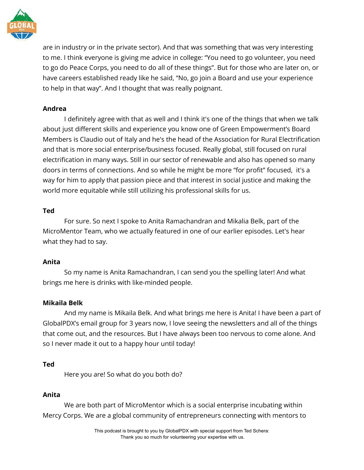

are in industry or in the private sector). And that was something that was very interesting to me. I think everyone is giving me advice in college: "You need to go volunteer, you need to go do Peace Corps, you need to do all of these things". But for those who are later on, or have careers established ready like he said, "No, go join a Board and use your experience to help in that way". And I thought that was really poignant.

# **Andrea**

I definitely agree with that as well and I think it's one of the things that when we talk about just different skills and experience you know one of Green Empowerment's Board Members is Claudio out of Italy and he's the head of the Association for Rural Electrification and that is more social enterprise/business focused. Really global, still focused on rural electrification in many ways. Still in our sector of renewable and also has opened so many doors in terms of connections. And so while he might be more "for profit" focused, it's a way for him to apply that passion piece and that interest in social justice and making the world more equitable while still utilizing his professional skills for us.

# **Ted**

For sure. So next I spoke to Anita Ramachandran and Mikalia Belk, part of the MicroMentor Team, who we actually featured in one of our earlier episodes. Let's hear what they had to say.

# **Anita**

So my name is Anita Ramachandran, I can send you the spelling later! And what brings me here is drinks with like-minded people.

# **Mikaila Belk**

And my name is Mikaila Belk. And what brings me here is Anita! I have been a part of GlobalPDX's email group for 3 years now, I love seeing the newsletters and all of the things that come out, and the resources. But I have always been too nervous to come alone. And so I never made it out to a happy hour until today!

# **Ted**

Here you are! So what do you both do?

# **Anita**

We are both part of MicroMentor which is a social enterprise incubating within Mercy Corps. We are a global community of entrepreneurs connecting with mentors to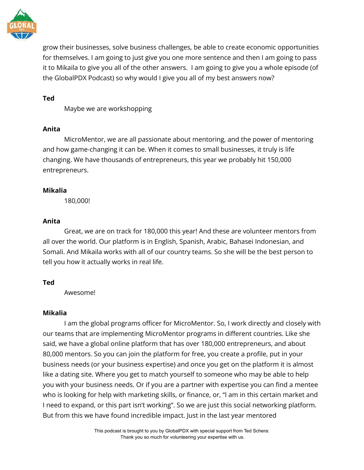

grow their businesses, solve business challenges, be able to create economic opportunities for themselves. I am going to just give you one more sentence and then I am going to pass it to Mikaila to give you all of the other answers. I am going to give you a whole episode (of the GlobalPDX Podcast) so why would I give you all of my best answers now?

### **Ted**

Maybe we are workshopping

# **Anita**

MicroMentor, we are all passionate about mentoring, and the power of mentoring and how game-changing it can be. When it comes to small businesses, it truly is life changing. We have thousands of entrepreneurs, this year we probably hit 150,000 entrepreneurs.

# **Mikalia**

180,000!

# **Anita**

Great, we are on track for 180,000 this year! And these are volunteer mentors from all over the world. Our platform is in English, Spanish, Arabic, Bahasei Indonesian, and Somali. And Mikaila works with all of our country teams. So she will be the best person to tell you how it actually works in real life.

# **Ted**

Awesome!

# **Mikalia**

I am the global programs officer for MicroMentor. So, I work directly and closely with our teams that are implementing MicroMentor programs in different countries. Like she said, we have a global online platform that has over 180,000 entrepreneurs, and about 80,000 mentors. So you can join the platform for free, you create a profile, put in your business needs (or your business expertise) and once you get on the platform it is almost like a dating site. Where you get to match yourself to someone who may be able to help you with your business needs. Or if you are a partner with expertise you can find a mentee who is looking for help with marketing skills, or finance, or, "I am in this certain market and I need to expand, or this part isn't working". So we are just this social networking platform. But from this we have found incredible impact. Just in the last year mentored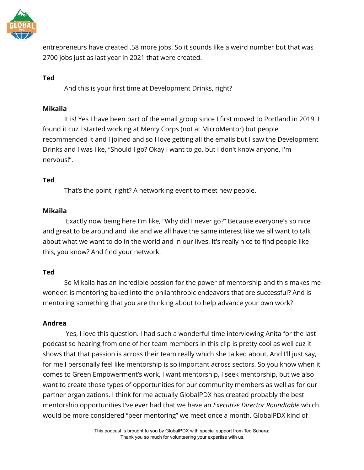

entrepreneurs have created .58 more jobs. So it sounds like a weird number but that was 2700 jobs just as last year in 2021 that were created.

# **Ted**

And this is your first time at Development Drinks, right?

# **Mikaila**

It is! Yes I have been part of the email group since I first moved to Portland in 2019. I found it cuz I started working at Mercy Corps (not at MicroMentor) but people recommended it and I joined and so I love getting all the emails but I saw the Development Drinks and I was like, "Should I go? Okay I want to go, but I don't know anyone, I'm nervous!".

# **Ted**

That's the point, right? A networking event to meet new people.

# **Mikaila**

Exactly now being here I'm like, "Why did I never go?" Because everyone's so nice and great to be around and like and we all have the same interest like we all want to talk about what we want to do in the world and in our lives. It's really nice to find people like this, you know? And find your network.

# **Ted**

So Mikaila has an incredible passion for the power of mentorship and this makes me wonder: is mentoring baked into the philanthropic endeavors that are successful? And is mentoring something that you are thinking about to help advance your own work?

# **Andrea**

Yes, I love this question. I had such a wonderful time interviewing Anita for the last podcast so hearing from one of her team members in this clip is pretty cool as well cuz it shows that that passion is across their team really which she talked about. And I'll just say, for me I personally feel like mentorship is so important across sectors. So you know when it comes to Green Empowerment's work, I want mentorship, I seek mentorship, but we also want to create those types of opportunities for our community members as well as for our partner organizations. I think for me actually GlobalPDX has created probably the best mentorship opportunities I've ever had that we have an *Executive Director Roundtable* which would be more considered "peer mentoring" we meet once a month. GlobalPDX kind of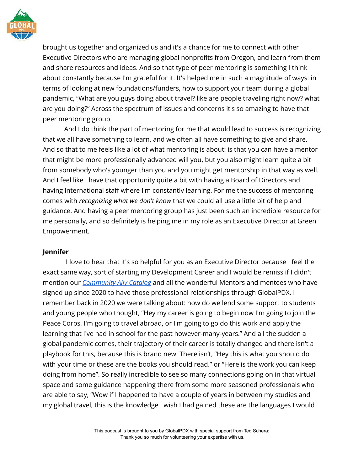

brought us together and organized us and it's a chance for me to connect with other Executive Directors who are managing global nonprofits from Oregon, and learn from them and share resources and ideas. And so that type of peer mentoring is something I think about constantly because I'm grateful for it. It's helped me in such a magnitude of ways: in terms of looking at new foundations/funders, how to support your team during a global pandemic, "What are you guys doing about travel? like are people traveling right now? what are you doing?" Across the spectrum of issues and concerns it's so amazing to have that peer mentoring group.

And I do think the part of mentoring for me that would lead to success is recognizing that we all have something to learn, and we often all have something to give and share. And so that to me feels like a lot of what mentoring is about: is that you can have a mentor that might be more professionally advanced will you, but you also might learn quite a bit from somebody who's younger than you and you might get mentorship in that way as well. And I feel like I have that opportunity quite a bit with having a Board of Directors and having International staff where I'm constantly learning. For me the success of mentoring comes with *recognizing what we don't know* that we could all use a little bit of help and guidance. And having a peer mentoring group has just been such an incredible resource for me personally, and so definitely is helping me in my role as an Executive Director at Green Empowerment.

# **Jennifer**

I love to hear that it's so helpful for you as an Executive Director because I feel the exact same way, sort of starting my Development Career and I would be remiss if I didn't mention our *[Community Ally Catalog](https://globalpdx.org/mentorship/)* and all the wonderful Mentors and mentees who have signed up since 2020 to have those professional relationships through GlobalPDX. I remember back in 2020 we were talking about: how do we lend some support to students and young people who thought, "Hey my career is going to begin now I'm going to join the Peace Corps, I'm going to travel abroad, or I'm going to go do this work and apply the learning that I've had in school for the past however-many-years." And all the sudden a global pandemic comes, their trajectory of their career is totally changed and there isn't a playbook for this, because this is brand new. There isn't, "Hey this is what you should do with your time or these are the books you should read." or "Here is the work you can keep doing from home". So really incredible to see so many connections going on in that virtual space and some guidance happening there from some more seasoned professionals who are able to say, "Wow if I happened to have a couple of years in between my studies and my global travel, this is the knowledge I wish I had gained these are the languages I would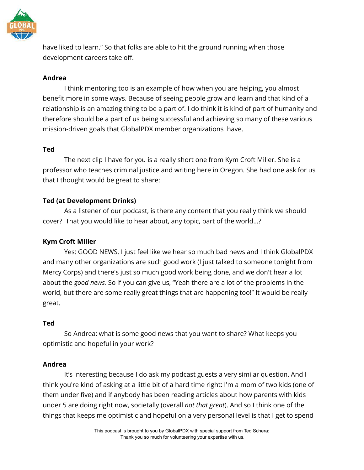

have liked to learn." So that folks are able to hit the ground running when those development careers take off.

### **Andrea**

I think mentoring too is an example of how when you are helping, you almost benefit more in some ways. Because of seeing people grow and learn and that kind of a relationship is an amazing thing to be a part of. I do think it is kind of part of humanity and therefore should be a part of us being successful and achieving so many of these various mission-driven goals that GlobalPDX member organizations have.

#### **Ted**

The next clip I have for you is a really short one from Kym Croft Miller. She is a professor who teaches criminal justice and writing here in Oregon. She had one ask for us that I thought would be great to share:

# **Ted (at Development Drinks)**

As a listener of our podcast, is there any content that you really think we should cover? That you would like to hear about, any topic, part of the world…?

# **Kym Croft Miller**

Yes: GOOD NEWS. I just feel like we hear so much bad news and I think GlobalPDX and many other organizations are such good work (I just talked to someone tonight from Mercy Corps) and there's just so much good work being done, and we don't hear a lot about the *good news.* So if you can give us, "Yeah there are a lot of the problems in the world, but there are some really great things that are happening too!" It would be really great.

# **Ted**

So Andrea: what is some good news that you want to share? What keeps you optimistic and hopeful in your work?

#### **Andrea**

It's interesting because I do ask my podcast guests a very similar question. And I think you're kind of asking at a little bit of a hard time right: I'm a mom of two kids (one of them under five) and if anybody has been reading articles about how parents with kids under 5 are doing right now, societally (overall *not that great*). And so I think one of the things that keeps me optimistic and hopeful on a very personal level is that I get to spend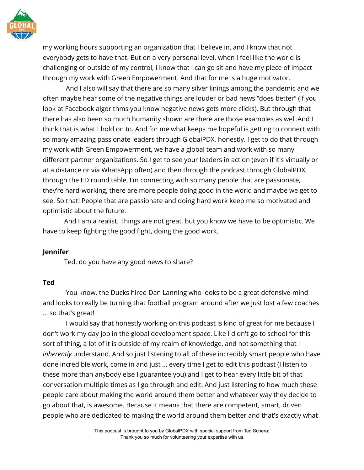

my working hours supporting an organization that I believe in, and I know that not everybody gets to have that. But on a very personal level, when I feel like the world is challenging or outside of my control, I know that I can go sit and have my piece of impact through my work with Green Empowerment. And that for me is a huge motivator.

And I also will say that there are so many silver linings among the pandemic and we often maybe hear some of the negative things are louder or bad news "does better" (if you look at Facebook algorithms you know negative news gets more clicks). But through that there has also been so much humanity shown are there are those examples as well.And I think that is what I hold on to. And for me what keeps me hopeful is getting to connect with so many amazing passionate leaders through GlobalPDX, honestly. I get to do that through my work with Green Empowerment, we have a global team and work with so many different partner organizations. So I get to see your leaders in action (even if it's virtually or at a distance or via WhatsApp often) and then through the podcast through GlobalPDX, through the ED round table, I'm connecting with so many people that are passionate, they're hard-working, there are more people doing good in the world and maybe we get to see. So that! People that are passionate and doing hard work keep me so motivated and optimistic about the future.

And I am a realist. Things are not great, but you know we have to be optimistic. We have to keep fighting the good fight, doing the good work.

#### **Jennifer**

Ted, do you have any good news to share?

# **Ted**

You know, the Ducks hired Dan Lanning who looks to be a great defensive-mind and looks to really be turning that football program around after we just lost a few coaches … so that's great!

I would say that honestly working on this podcast is kind of great for me because I don't work my day job in the global development space. Like I didn't go to school for this sort of thing, a lot of it is outside of my realm of knowledge, and not something that I *inherently* understand. And so just listening to all of these incredibly smart people who have done incredible work, come in and just … every time I get to edit this podcast (I listen to these more than anybody else I guarantee you) and I get to hear every little bit of that conversation multiple times as I go through and edit. And just listening to how much these people care about making the world around them better and whatever way they decide to go about that, is awesome. Because it means that there are competent, smart, driven people who are dedicated to making the world around them better and that's exactly what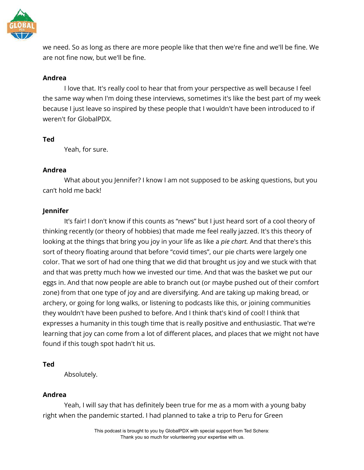

we need. So as long as there are more people like that then we're fine and we'll be fine. We are not fine now, but we'll be fine.

#### **Andrea**

I love that. It's really cool to hear that from your perspective as well because I feel the same way when I'm doing these interviews, sometimes it's like the best part of my week because I just leave so inspired by these people that I wouldn't have been introduced to if weren't for GlobalPDX.

#### **Ted**

Yeah, for sure.

# **Andrea**

What about you Jennifer? I know I am not supposed to be asking questions, but you can't hold me back!

# **Jennifer**

It's fair! I don't know if this counts as "news" but I just heard sort of a cool theory of thinking recently (or theory of hobbies) that made me feel really jazzed. It's this theory of looking at the things that bring you joy in your life as like a *pie chart.* And that there's this sort of theory floating around that before "covid times", our pie charts were largely one color. That we sort of had one thing that we did that brought us joy and we stuck with that and that was pretty much how we invested our time. And that was the basket we put our eggs in. And that now people are able to branch out (or maybe pushed out of their comfort zone) from that one type of joy and are diversifying. And are taking up making bread, or archery, or going for long walks, or listening to podcasts like this, or joining communities they wouldn't have been pushed to before. And I think that's kind of cool! l think that expresses a humanity in this tough time that is really positive and enthusiastic. That we're learning that joy can come from a lot of different places, and places that we might not have found if this tough spot hadn't hit us.

# **Ted**

Absolutely.

# **Andrea**

Yeah, I will say that has definitely been true for me as a mom with a young baby right when the pandemic started. I had planned to take a trip to Peru for Green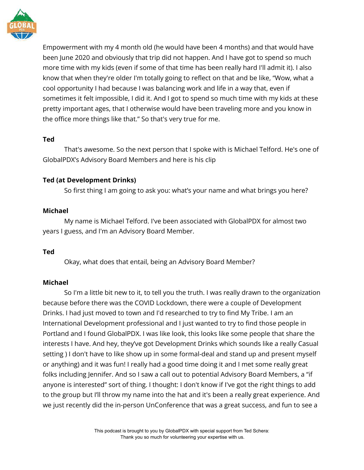

Empowerment with my 4 month old (he would have been 4 months) and that would have been June 2020 and obviously that trip did not happen. And I have got to spend so much more time with my kids (even if some of that time has been really hard I'll admit it). I also know that when they're older I'm totally going to reflect on that and be like, "Wow, what a cool opportunity I had because I was balancing work and life in a way that, even if sometimes it felt impossible, I did it. And I got to spend so much time with my kids at these pretty important ages, that I otherwise would have been traveling more and you know in the office more things like that." So that's very true for me.

#### **Ted**

That's awesome. So the next person that I spoke with is Michael Telford. He's one of GlobalPDX's Advisory Board Members and here is his clip

# **Ted (at Development Drinks)**

So first thing I am going to ask you: what's your name and what brings you here?

# **Michael**

My name is Michael Telford. I've been associated with GlobalPDX for almost two years I guess, and I'm an Advisory Board Member.

# **Ted**

Okay, what does that entail, being an Advisory Board Member?

# **Michael**

So I'm a little bit new to it, to tell you the truth. I was really drawn to the organization because before there was the COVID Lockdown, there were a couple of Development Drinks. I had just moved to town and I'd researched to try to find My Tribe. I am an International Development professional and I just wanted to try to find those people in Portland and I found GlobalPDX. I was like look, this looks like some people that share the interests I have. And hey, they've got Development Drinks which sounds like a really Casual setting ) I don't have to like show up in some formal-deal and stand up and present myself or anything) and it was fun! I really had a good time doing it and I met some really great folks including Jennifer. And so I saw a call out to potential Advisory Board Members, a "if anyone is interested" sort of thing. I thought: I don't know if I've got the right things to add to the group but I'll throw my name into the hat and it's been a really great experience. And we just recently did the in-person UnConference that was a great success, and fun to see a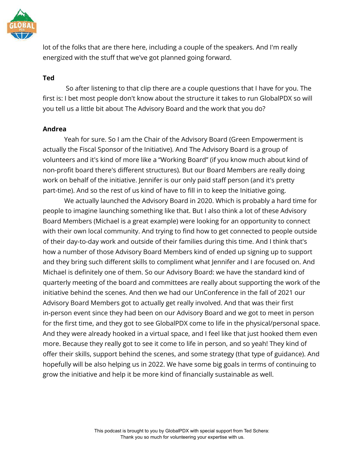

lot of the folks that are there here, including a couple of the speakers. And I'm really energized with the stuff that we've got planned going forward.

#### **Ted**

So after listening to that clip there are a couple questions that I have for you. The first is: I bet most people don't know about the structure it takes to run GlobalPDX so will you tell us a little bit about The Advisory Board and the work that you do?

#### **Andrea**

Yeah for sure. So I am the Chair of the Advisory Board (Green Empowerment is actually the Fiscal Sponsor of the Initiative). And The Advisory Board is a group of volunteers and it's kind of more like a "Working Board" (if you know much about kind of non-profit board there's different structures). But our Board Members are really doing work on behalf of the initiative. Jennifer is our only paid staff person (and it's pretty part-time). And so the rest of us kind of have to fill in to keep the Initiative going.

We actually launched the Advisory Board in 2020. Which is probably a hard time for people to imagine launching something like that. But I also think a lot of these Advisory Board Members (Michael is a great example) were looking for an opportunity to connect with their own local community. And trying to find how to get connected to people outside of their day-to-day work and outside of their families during this time. And I think that's how a number of those Advisory Board Members kind of ended up signing up to support and they bring such different skills to compliment what Jennifer and I are focused on. And Michael is definitely one of them. So our Advisory Board: we have the standard kind of quarterly meeting of the board and committees are really about supporting the work of the initiative behind the scenes. And then we had our UnConference in the fall of 2021 our Advisory Board Members got to actually get really involved. And that was their first in-person event since they had been on our Advisory Board and we got to meet in person for the first time, and they got to see GlobalPDX come to life in the physical/personal space. And they were already hooked in a virtual space, and I feel like that just hooked them even more. Because they really got to see it come to life in person, and so yeah! They kind of offer their skills, support behind the scenes, and some strategy (that type of guidance). And hopefully will be also helping us in 2022. We have some big goals in terms of continuing to grow the initiative and help it be more kind of financially sustainable as well.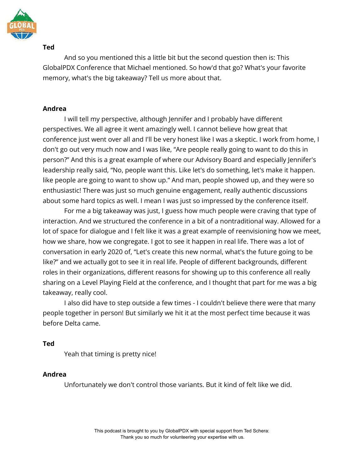

And so you mentioned this a little bit but the second question then is: This GlobalPDX Conference that Michael mentioned. So how'd that go? What's your favorite memory, what's the big takeaway? Tell us more about that.

#### **Andrea**

I will tell my perspective, although Jennifer and I probably have different perspectives. We all agree it went amazingly well. I cannot believe how great that conference just went over all and I'll be very honest like I was a skeptic. I work from home, I don't go out very much now and I was like, "Are people really going to want to do this in person?" And this is a great example of where our Advisory Board and especially Jennifer's leadership really said, "No, people want this. Like let's do something, let's make it happen. like people are going to want to show up." And man, people showed up, and they were so enthusiastic! There was just so much genuine engagement, really authentic discussions about some hard topics as well. I mean I was just so impressed by the conference itself.

For me a big takeaway was just, I guess how much people were craving that type of interaction. And we structured the conference in a bit of a nontraditional way. Allowed for a lot of space for dialogue and I felt like it was a great example of reenvisioning how we meet, how we share, how we congregate. I got to see it happen in real life. There was a lot of conversation in early 2020 of, "Let's create this new normal, what's the future going to be like?" and we actually got to see it in real life. People of different backgrounds, different roles in their organizations, different reasons for showing up to this conference all really sharing on a Level Playing Field at the conference, and I thought that part for me was a big takeaway, really cool.

I also did have to step outside a few times - I couldn't believe there were that many people together in person! But similarly we hit it at the most perfect time because it was before Delta came.

#### **Ted**

Yeah that timing is pretty nice!

# **Andrea**

Unfortunately we don't control those variants. But it kind of felt like we did.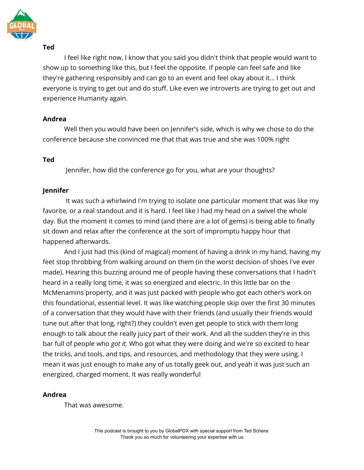

I feel like right now, I know that you said you didn't think that people would want to show up to something like this, but I feel the opposite. If people can feel safe and like they're gathering responsibly and can go to an event and feel okay about it… I think everyone is trying to get out and do stuff. Like even we introverts are trying to get out and experience Humanity again.

# **Andrea**

Well then you would have been on Jennifer's side, which is why we chose to do the conference because she convinced me that that was true and she was 100% right

# **Ted**

Jennifer, how did the conference go for you, what are your thoughts?

# **Jennifer**

It was such a whirlwind I'm trying to isolate one particular moment that was like my favorite, or a real standout and it is hard. I feel like I had my head on a swivel the whole day. But the moment it comes to mind (and there are a lot of gems) is being able to finally sit down and relax after the conference at the sort of impromptu happy hour that happened afterwards.

And I just had this (kind of magical) moment of having a drink in my hand, having my feet stop throbbing from walking around on them (in the worst decision of shoes I've ever made). Hearing this buzzing around me of people having these conversations that I hadn't heard in a really long time, it was so energized and electric. In this little bar on the McMenamins property, and it was just packed with people who got each other's work on this foundational, essential level. It was like watching people skip over the first 30 minutes of a conversation that they would have with their friends (and usually their friends would tune out after that long, right?) they couldn't even get people to stick with them long enough to talk about the really juicy part of their work. And all the sudden they're in this bar full of people who *got it.* Who got what they were doing and we're so excited to hear the tricks, and tools, and tips, and resources, and methodology that they were using. I mean it was just enough to make any of us totally geek out, and yeah it was just such an energized, charged moment. It was really wonderful

# **Andrea**

That was awesome.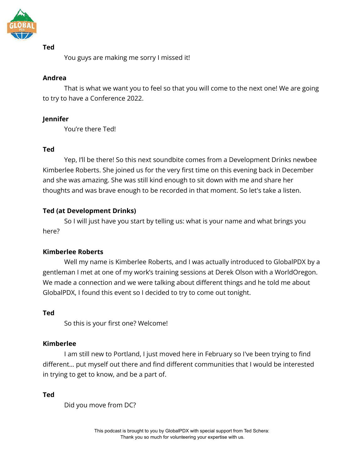

You guys are making me sorry I missed it!

# **Andrea**

That is what we want you to feel so that you will come to the next one! We are going to try to have a Conference 2022.

# **Jennifer**

You're there Ted!

# **Ted**

Yep, I'll be there! So this next soundbite comes from a Development Drinks newbee Kimberlee Roberts. She joined us for the very first time on this evening back in December and she was amazing. She was still kind enough to sit down with me and share her thoughts and was brave enough to be recorded in that moment. So let's take a listen.

# **Ted (at Development Drinks)**

So I will just have you start by telling us: what is your name and what brings you here?

# **Kimberlee Roberts**

Well my name is Kimberlee Roberts, and I was actually introduced to GlobalPDX by a gentleman I met at one of my work's training sessions at Derek Olson with a WorldOregon. We made a connection and we were talking about different things and he told me about GlobalPDX, I found this event so I decided to try to come out tonight.

# **Ted**

So this is your first one? Welcome!

# **Kimberlee**

I am still new to Portland, I just moved here in February so I've been trying to find different… put myself out there and find different communities that I would be interested in trying to get to know, and be a part of.

**Ted**

Did you move from DC?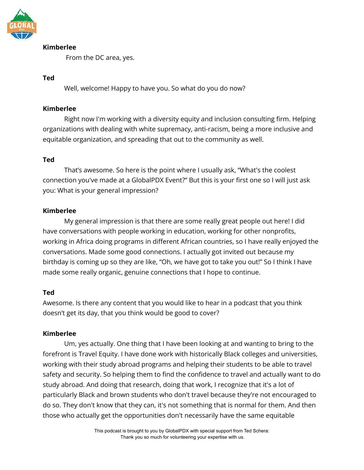

# **Kimberlee**

From the DC area, yes.

#### **Ted**

Well, welcome! Happy to have you. So what do you do now?

#### **Kimberlee**

Right now I'm working with a diversity equity and inclusion consulting firm. Helping organizations with dealing with white supremacy, anti-racism, being a more inclusive and equitable organization, and spreading that out to the community as well.

# **Ted**

That's awesome. So here is the point where I usually ask, "What's the coolest connection you've made at a GlobalPDX Event?" But this is your first one so I will just ask you: What is your general impression?

# **Kimberlee**

My general impression is that there are some really great people out here! I did have conversations with people working in education, working for other nonprofits, working in Africa doing programs in different African countries, so I have really enjoyed the conversations. Made some good connections. I actually got invited out because my birthday is coming up so they are like, "Oh, we have got to take you out!" So I think I have made some really organic, genuine connections that I hope to continue.

# **Ted**

Awesome. Is there any content that you would like to hear in a podcast that you think doesn't get its day, that you think would be good to cover?

# **Kimberlee**

Um, yes actually. One thing that I have been looking at and wanting to bring to the forefront is Travel Equity. I have done work with historically Black colleges and universities, working with their study abroad programs and helping their students to be able to travel safety and security. So helping them to find the confidence to travel and actually want to do study abroad. And doing that research, doing that work, I recognize that it's a lot of particularly Black and brown students who don't travel because they're not encouraged to do so. They don't know that they can, it's not something that is normal for them. And then those who actually get the opportunities don't necessarily have the same equitable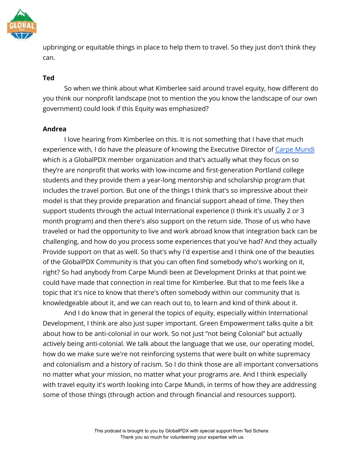

upbringing or equitable things in place to help them to travel. So they just don't think they can.

# **Ted**

So when we think about what Kimberlee said around travel equity, how different do you think our nonprofit landscape (not to mention the you know the landscape of our own government) could look if this Equity was emphasized?

#### **Andrea**

I love hearing from Kimberlee on this. It is not something that I have that much experience with, I do have the pleasure of knowing the Executive Director of [Carpe Mundi](https://www.carpemundi.org/) which is a GlobalPDX member organization and that's actually what they focus on so they're are nonprofit that works with low-income and first-generation Portland college students and they provide them a year-long mentorship and scholarship program that includes the travel portion. But one of the things I think that's so impressive about their model is that they provide preparation and financial support ahead of time. They then support students through the actual International experience (I think it's usually 2 or 3 month program) and then there's also support on the return side. Those of us who have traveled or had the opportunity to live and work abroad know that integration back can be challenging, and how do you process some experiences that you've had? And they actually Provide support on that as well. So that's why I'd expertise and I think one of the beauties of the GlobalPDX Community is that you can often find somebody who's working on it, right? So had anybody from Carpe Mundi been at Development Drinks at that point we could have made that connection in real time for Kimberlee. But that to me feels like a topic that it's nice to know that there's often somebody within our community that is knowledgeable about it, and we can reach out to, to learn and kind of think about it.

And I do know that in general the topics of equity, especially within International Development, I think are also just super important. Green Empowerment talks quite a bit about how to be anti-colonial in our work. So not just "not being Colonial" but actually actively being anti-colonial. We talk about the language that we use, our operating model, how do we make sure we're not reinforcing systems that were built on white supremacy and colonialism and a history of racism. So I do think those are all important conversations no matter what your mission, no matter what your programs are. And I think especially with travel equity it's worth looking into Carpe Mundi, in terms of how they are addressing some of those things (through action and through financial and resources support).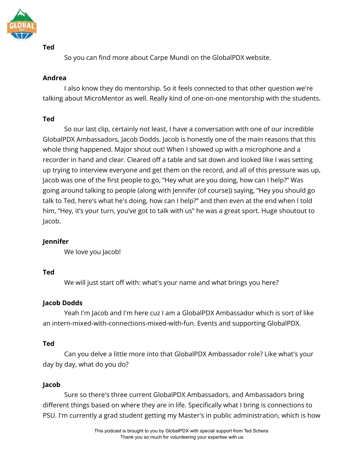

So you can find more about Carpe Mundi on the GlobalPDX website.

# **Andrea**

I also know they do mentorship. So it feels connected to that other question we're talking about MicroMentor as well. Really kind of one-on-one mentorship with the students.

# **Ted**

So our last clip, certainly not least, I have a conversation with one of our incredible GlobalPDX Ambassadors, Jacob Dodds. Jacob is honestly one of the main reasons that this whole thing happened. Major shout out! When I showed up with a microphone and a recorder in hand and clear. Cleared off a table and sat down and looked like I was setting up trying to interview everyone and get them on the record, and all of this pressure was up, Jacob was one of the first people to go, "Hey what are you doing, how can I help?" Was going around talking to people (along with Jennifer (of course)) saying, "Hey you should go talk to Ted, here's what he's doing, how can I help?" and then even at the end when I told him, "Hey, it's your turn, you've got to talk with us" he was a great sport. Huge shoutout to Jacob.

# **Jennifer**

We love you Jacob!

# **Ted**

We will just start off with: what's your name and what brings you here?

# **Jacob Dodds**

Yeah I'm Jacob and I'm here cuz I am a GlobalPDX Ambassador which is sort of like an intern-mixed-with-connections-mixed-with-fun. Events and supporting GlobalPDX.

# **Ted**

Can you delve a little more into that GlobalPDX Ambassador role? Like what's your day by day, what do you do?

# **Jacob**

Sure so there's three current GlobalPDX Ambassadors, and Ambassadors bring different things based on where they are in life. Specifically what I bring is connections to PSU. I'm currently a grad student getting my Master's in public administration, which is how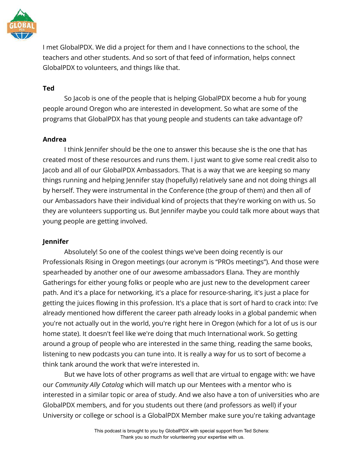

I met GlobalPDX. We did a project for them and I have connections to the school, the teachers and other students. And so sort of that feed of information, helps connect GlobalPDX to volunteers, and things like that.

### **Ted**

So Jacob is one of the people that is helping GlobalPDX become a hub for young people around Oregon who are interested in development. So what are some of the programs that GlobalPDX has that young people and students can take advantage of?

#### **Andrea**

I think Jennifer should be the one to answer this because she is the one that has created most of these resources and runs them. I just want to give some real credit also to Jacob and all of our GlobalPDX Ambassadors. That is a way that we are keeping so many things running and helping Jennifer stay (hopefully) relatively sane and not doing things all by herself. They were instrumental in the Conference (the group of them) and then all of our Ambassadors have their individual kind of projects that they're working on with us. So they are volunteers supporting us. But Jennifer maybe you could talk more about ways that young people are getting involved.

# **Jennifer**

Absolutely! So one of the coolest things we've been doing recently is our Professionals Rising in Oregon meetings (our acronym is "PROs meetings"). And those were spearheaded by another one of our awesome ambassadors Elana. They are monthly Gatherings for either young folks or people who are just new to the development career path. And it's a place for networking, it's a place for resource-sharing, it's just a place for getting the juices flowing in this profession. It's a place that is sort of hard to crack into: I've already mentioned how different the career path already looks in a global pandemic when you're not actually out in the world, you're right here in Oregon (which for a lot of us is our home state). It doesn't feel like we're doing that much International work. So getting around a group of people who are interested in the same thing, reading the same books, listening to new podcasts you can tune into. It is really a way for us to sort of become a think tank around the work that we're interested in.

But we have lots of other programs as well that are virtual to engage with: we have our *Community Ally Catalog* which will match up our Mentees with a mentor who is interested in a similar topic or area of study. And we also have a ton of universities who are GlobalPDX members, and for you students out there (and professors as well) if your University or college or school is a GlobalPDX Member make sure you're taking advantage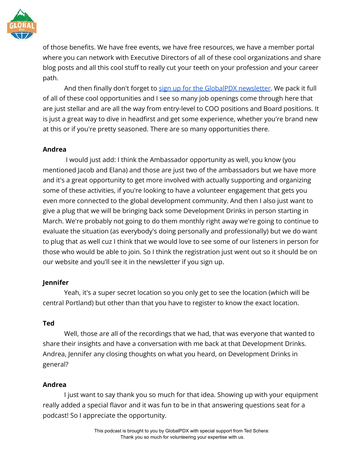

of those benefits. We have free events, we have free resources, we have a member portal where you can network with Executive Directors of all of these cool organizations and share blog posts and all this cool stuff to really cut your teeth on your profession and your career path.

And then finally don't forget to [sign up for the GlobalPDX newsletter](https://globalpdx.org/contact/). We pack it full of all of these cool opportunities and I see so many job openings come through here that are just stellar and are all the way from entry-level to COO positions and Board positions. It is just a great way to dive in headfirst and get some experience, whether you're brand new at this or if you're pretty seasoned. There are so many opportunities there.

# **Andrea**

I would just add: I think the Ambassador opportunity as well, you know (you mentioned Jacob and Elana) and those are just two of the ambassadors but we have more and it's a great opportunity to get more involved with actually supporting and organizing some of these activities, if you're looking to have a volunteer engagement that gets you even more connected to the global development community. And then I also just want to give a plug that we will be bringing back some Development Drinks in person starting in March. We're probably not going to do them monthly right away we're going to continue to evaluate the situation (as everybody's doing personally and professionally) but we do want to plug that as well cuz I think that we would love to see some of our listeners in person for those who would be able to join. So I think the registration just went out so it should be on our website and you'll see it in the newsletter if you sign up.

# **Jennifer**

Yeah, it's a super secret location so you only get to see the location (which will be central Portland) but other than that you have to register to know the exact location.

# **Ted**

Well, those are all of the recordings that we had, that was everyone that wanted to share their insights and have a conversation with me back at that Development Drinks. Andrea, Jennifer any closing thoughts on what you heard, on Development Drinks in general?

# **Andrea**

I just want to say thank you so much for that idea. Showing up with your equipment really added a special flavor and it was fun to be in that answering questions seat for a podcast! So I appreciate the opportunity.